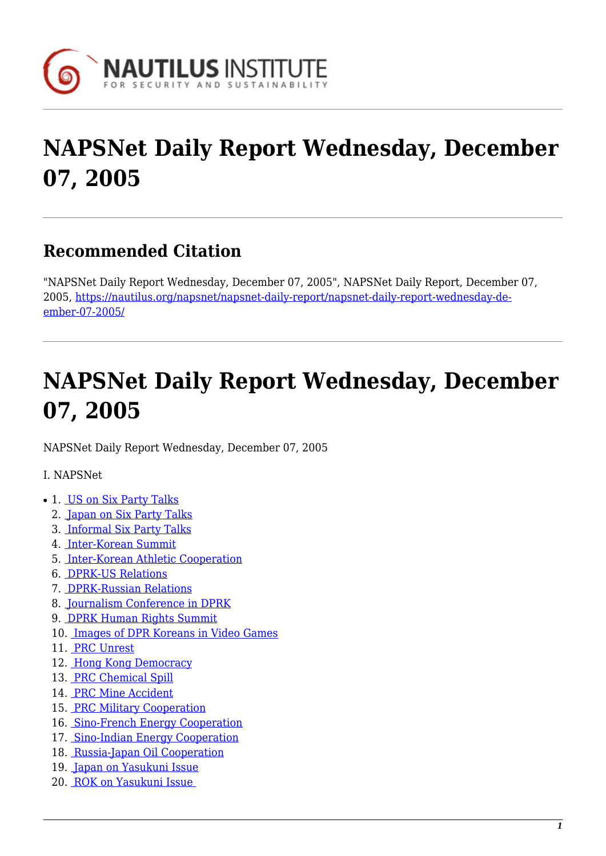

# **NAPSNet Daily Report Wednesday, December 07, 2005**

# **Recommended Citation**

"NAPSNet Daily Report Wednesday, December 07, 2005", NAPSNet Daily Report, December 07, 2005, [https://nautilus.org/napsnet/napsnet-daily-report/napsnet-daily-report-wednesday-de](https://nautilus.org/napsnet/napsnet-daily-report/napsnet-daily-report-wednesday-december-07-2005/)[ember-07-2005/](https://nautilus.org/napsnet/napsnet-daily-report/napsnet-daily-report-wednesday-december-07-2005/)

# **NAPSNet Daily Report Wednesday, December 07, 2005**

<span id="page-0-0"></span>NAPSNet Daily Report Wednesday, December 07, 2005

I. NAPSNet

- 1. [US on Six Party Talks](#page-1-0)
	- 2. [Japan on Six Party Talks](#page-1-1)
	- 3. [Informal Six Party Talks](#page-1-2)
	- 4. [Inter-Korean Summit](#page-1-3)
	- 5. [Inter-Korean Athletic Cooperation](#page-1-4)
	- 6. [DPRK-US Relations](#page-2-0)
	- 7. [DPRK-Russian Relations](#page-2-1)
	- 8. [Journalism Conference in DPRK](#page-2-2)
	- 9. [DPRK Human Rights Summit](#page-2-3)
	- 10. [Images of DPR Koreans in Video Games](#page-3-0)
	- 11. [PRC Unrest](#page-3-1)
	- 12. [Hong Kong Democracy](#page-3-2)
	- 13. [PRC Chemical Spill](#page-4-0)
	- 14. [PRC Mine Accident](#page-4-1)
	- 15. [PRC Military Cooperation](#page-4-2)
	- 16. [Sino-French Energy Cooperation](#page-4-3)
	- 17. [Sino-Indian Energy Cooperation](#page-4-4)
	- 18. [Russia-Japan Oil Cooperation](#page-5-0)
	- 19. [Japan on Yasukuni Issue](#page-5-1)
	- 20. [ROK on Yasukuni Issue](#page-5-2)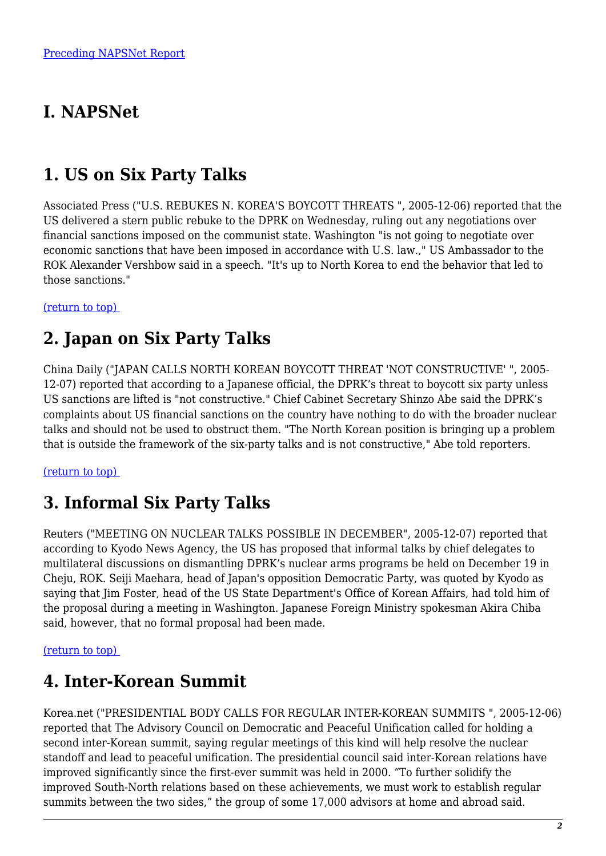# **I. NAPSNet**

# <span id="page-1-0"></span>**1. US on Six Party Talks**

Associated Press ("U.S. REBUKES N. KOREA'S BOYCOTT THREATS ", 2005-12-06) reported that the US delivered a stern public rebuke to the DPRK on Wednesday, ruling out any negotiations over financial sanctions imposed on the communist state. Washington "is not going to negotiate over economic sanctions that have been imposed in accordance with U.S. law.," US Ambassador to the ROK Alexander Vershbow said in a speech. "It's up to North Korea to end the behavior that led to those sanctions."

<span id="page-1-1"></span>[\(return to top\)](#page-0-0) 

### **2. Japan on Six Party Talks**

China Daily ("JAPAN CALLS NORTH KOREAN BOYCOTT THREAT 'NOT CONSTRUCTIVE' ", 2005- 12-07) reported that according to a Japanese official, the DPRK's threat to boycott six party unless US sanctions are lifted is "not constructive." Chief Cabinet Secretary Shinzo Abe said the DPRK's complaints about US financial sanctions on the country have nothing to do with the broader nuclear talks and should not be used to obstruct them. "The North Korean position is bringing up a problem that is outside the framework of the six-party talks and is not constructive," Abe told reporters.

#### <span id="page-1-2"></span>[\(return to top\)](#page-0-0)

# **3. Informal Six Party Talks**

Reuters ("MEETING ON NUCLEAR TALKS POSSIBLE IN DECEMBER", 2005-12-07) reported that according to Kyodo News Agency, the US has proposed that informal talks by chief delegates to multilateral discussions on dismantling DPRK's nuclear arms programs be held on December 19 in Cheju, ROK. Seiji Maehara, head of Japan's opposition Democratic Party, was quoted by Kyodo as saying that Jim Foster, head of the US State Department's Office of Korean Affairs, had told him of the proposal during a meeting in Washington. Japanese Foreign Ministry spokesman Akira Chiba said, however, that no formal proposal had been made.

#### <span id="page-1-3"></span>[\(return to top\)](#page-0-0)

### **4. Inter-Korean Summit**

<span id="page-1-4"></span>Korea.net ("PRESIDENTIAL BODY CALLS FOR REGULAR INTER-KOREAN SUMMITS ", 2005-12-06) reported that The Advisory Council on Democratic and Peaceful Unification called for holding a second inter-Korean summit, saying regular meetings of this kind will help resolve the nuclear standoff and lead to peaceful unification. The presidential council said inter-Korean relations have improved significantly since the first-ever summit was held in 2000. "To further solidify the improved South-North relations based on these achievements, we must work to establish regular summits between the two sides," the group of some 17,000 advisors at home and abroad said.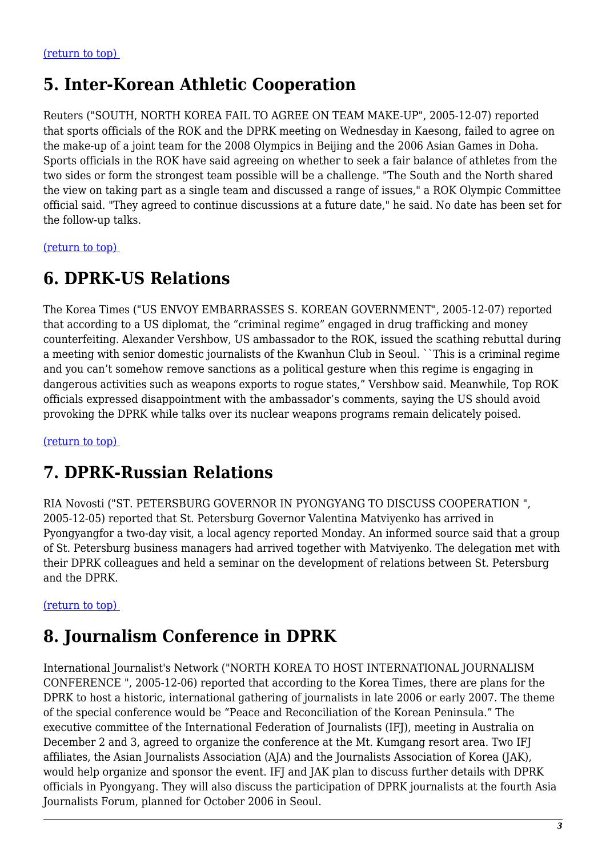### **5. Inter-Korean Athletic Cooperation**

Reuters ("SOUTH, NORTH KOREA FAIL TO AGREE ON TEAM MAKE-UP", 2005-12-07) reported that sports officials of the ROK and the DPRK meeting on Wednesday in Kaesong, failed to agree on the make-up of a joint team for the 2008 Olympics in Beijing and the 2006 Asian Games in Doha. Sports officials in the ROK have said agreeing on whether to seek a fair balance of athletes from the two sides or form the strongest team possible will be a challenge. "The South and the North shared the view on taking part as a single team and discussed a range of issues," a ROK Olympic Committee official said. "They agreed to continue discussions at a future date," he said. No date has been set for the follow-up talks.

<span id="page-2-0"></span>[\(return to top\)](#page-0-0) 

### **6. DPRK-US Relations**

The Korea Times ("US ENVOY EMBARRASSES S. KOREAN GOVERNMENT", 2005-12-07) reported that according to a US diplomat, the "criminal regime" engaged in drug trafficking and money counterfeiting. Alexander Vershbow, US ambassador to the ROK, issued the scathing rebuttal during a meeting with senior domestic journalists of the Kwanhun Club in Seoul. ``This is a criminal regime and you can't somehow remove sanctions as a political gesture when this regime is engaging in dangerous activities such as weapons exports to rogue states," Vershbow said. Meanwhile, Top ROK officials expressed disappointment with the ambassador's comments, saying the US should avoid provoking the DPRK while talks over its nuclear weapons programs remain delicately poised.

<span id="page-2-1"></span>[\(return to top\)](#page-0-0) 

### **7. DPRK-Russian Relations**

RIA Novosti ("ST. PETERSBURG GOVERNOR IN PYONGYANG TO DISCUSS COOPERATION ", 2005-12-05) reported that St. Petersburg Governor Valentina Matviyenko has arrived in Pyongyangfor a two-day visit, a local agency reported Monday. An informed source said that a group of St. Petersburg business managers had arrived together with Matviyenko. The delegation met with their DPRK colleagues and held a seminar on the development of relations between St. Petersburg and the DPRK.

#### <span id="page-2-2"></span>[\(return to top\)](#page-0-0)

# **8. Journalism Conference in DPRK**

<span id="page-2-3"></span>International Journalist's Network ("NORTH KOREA TO HOST INTERNATIONAL JOURNALISM CONFERENCE ", 2005-12-06) reported that according to the Korea Times, there are plans for the DPRK to host a historic, international gathering of journalists in late 2006 or early 2007. The theme of the special conference would be "Peace and Reconciliation of the Korean Peninsula." The executive committee of the International Federation of Journalists (IFJ), meeting in Australia on December 2 and 3, agreed to organize the conference at the Mt. Kumgang resort area. Two IFJ affiliates, the Asian Journalists Association (AJA) and the Journalists Association of Korea (JAK), would help organize and sponsor the event. IFJ and JAK plan to discuss further details with DPRK officials in Pyongyang. They will also discuss the participation of DPRK journalists at the fourth Asia Journalists Forum, planned for October 2006 in Seoul.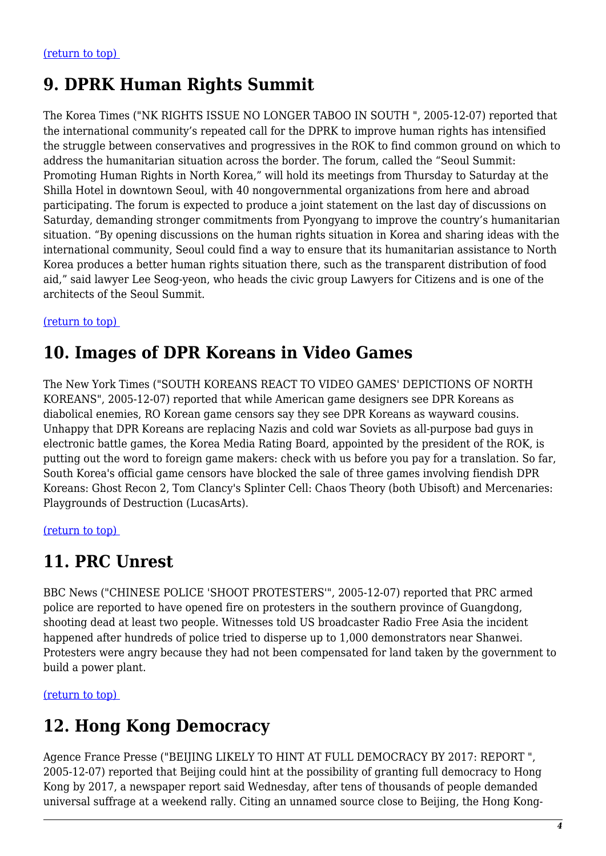# **9. DPRK Human Rights Summit**

The Korea Times ("NK RIGHTS ISSUE NO LONGER TABOO IN SOUTH ", 2005-12-07) reported that the international community's repeated call for the DPRK to improve human rights has intensified the struggle between conservatives and progressives in the ROK to find common ground on which to address the humanitarian situation across the border. The forum, called the "Seoul Summit: Promoting Human Rights in North Korea," will hold its meetings from Thursday to Saturday at the Shilla Hotel in downtown Seoul, with 40 nongovernmental organizations from here and abroad participating. The forum is expected to produce a joint statement on the last day of discussions on Saturday, demanding stronger commitments from Pyongyang to improve the country's humanitarian situation. "By opening discussions on the human rights situation in Korea and sharing ideas with the international community, Seoul could find a way to ensure that its humanitarian assistance to North Korea produces a better human rights situation there, such as the transparent distribution of food aid," said lawyer Lee Seog-yeon, who heads the civic group Lawyers for Citizens and is one of the architects of the Seoul Summit.

#### <span id="page-3-0"></span>[\(return to top\)](#page-0-0)

# **10. Images of DPR Koreans in Video Games**

The New York Times ("SOUTH KOREANS REACT TO VIDEO GAMES' DEPICTIONS OF NORTH KOREANS", 2005-12-07) reported that while American game designers see DPR Koreans as diabolical enemies, RO Korean game censors say they see DPR Koreans as wayward cousins. Unhappy that DPR Koreans are replacing Nazis and cold war Soviets as all-purpose bad guys in electronic battle games, the Korea Media Rating Board, appointed by the president of the ROK, is putting out the word to foreign game makers: check with us before you pay for a translation. So far, South Korea's official game censors have blocked the sale of three games involving fiendish DPR Koreans: Ghost Recon 2, Tom Clancy's Splinter Cell: Chaos Theory (both Ubisoft) and Mercenaries: Playgrounds of Destruction (LucasArts).

<span id="page-3-1"></span>[\(return to top\)](#page-0-0) 

### **11. PRC Unrest**

BBC News ("CHINESE POLICE 'SHOOT PROTESTERS'", 2005-12-07) reported that PRC armed police are reported to have opened fire on protesters in the southern province of Guangdong, shooting dead at least two people. Witnesses told US broadcaster Radio Free Asia the incident happened after hundreds of police tried to disperse up to 1,000 demonstrators near Shanwei. Protesters were angry because they had not been compensated for land taken by the government to build a power plant.

<span id="page-3-2"></span>[\(return to top\)](#page-0-0) 

# **12. Hong Kong Democracy**

Agence France Presse ("BEIJING LIKELY TO HINT AT FULL DEMOCRACY BY 2017: REPORT ", 2005-12-07) reported that Beijing could hint at the possibility of granting full democracy to Hong Kong by 2017, a newspaper report said Wednesday, after tens of thousands of people demanded universal suffrage at a weekend rally. Citing an unnamed source close to Beijing, the Hong Kong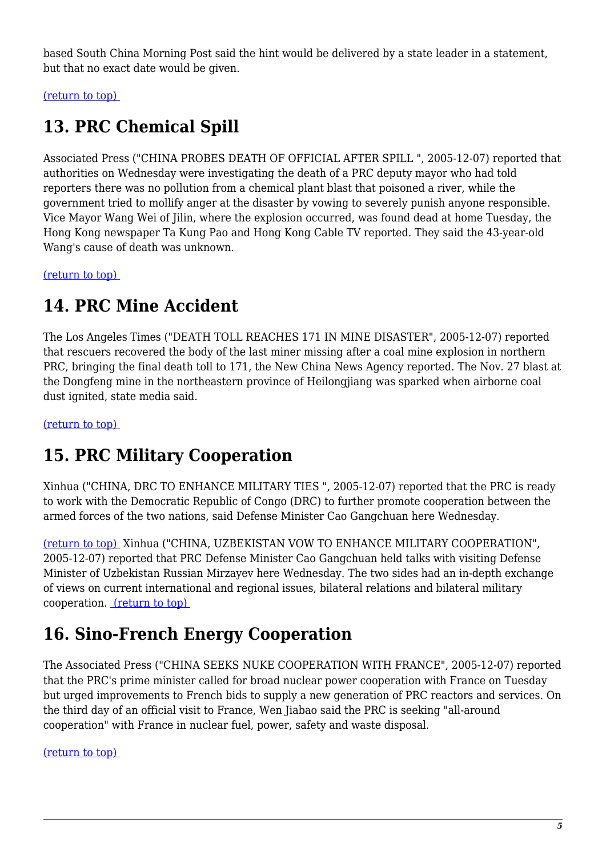based South China Morning Post said the hint would be delivered by a state leader in a statement, but that no exact date would be given.

<span id="page-4-0"></span>[\(return to top\)](#page-0-0) 

# **13. PRC Chemical Spill**

Associated Press ("CHINA PROBES DEATH OF OFFICIAL AFTER SPILL ", 2005-12-07) reported that authorities on Wednesday were investigating the death of a PRC deputy mayor who had told reporters there was no pollution from a chemical plant blast that poisoned a river, while the government tried to mollify anger at the disaster by vowing to severely punish anyone responsible. Vice Mayor Wang Wei of Jilin, where the explosion occurred, was found dead at home Tuesday, the Hong Kong newspaper Ta Kung Pao and Hong Kong Cable TV reported. They said the 43-year-old Wang's cause of death was unknown.

<span id="page-4-1"></span>[\(return to top\)](#page-0-0) 

### **14. PRC Mine Accident**

The Los Angeles Times ("DEATH TOLL REACHES 171 IN MINE DISASTER", 2005-12-07) reported that rescuers recovered the body of the last miner missing after a coal mine explosion in northern PRC, bringing the final death toll to 171, the New China News Agency reported. The Nov. 27 blast at the Dongfeng mine in the northeastern province of Heilongjiang was sparked when airborne coal dust ignited, state media said.

<span id="page-4-2"></span>[\(return to top\)](#page-0-0) 

# **15. PRC Military Cooperation**

Xinhua ("CHINA, DRC TO ENHANCE MILITARY TIES ", 2005-12-07) reported that the PRC is ready to work with the Democratic Republic of Congo (DRC) to further promote cooperation between the armed forces of the two nations, said Defense Minister Cao Gangchuan here Wednesday.

[\(return to top\)](#page-0-0) Xinhua ("CHINA, UZBEKISTAN VOW TO ENHANCE MILITARY COOPERATION", 2005-12-07) reported that PRC Defense Minister Cao Gangchuan held talks with visiting Defense Minister of Uzbekistan Russian Mirzayev here Wednesday. The two sides had an in-depth exchange of views on current international and regional issues, bilateral relations and bilateral military cooperation. [\(return to top\)](#page-0-0) 

# <span id="page-4-3"></span>**16. Sino-French Energy Cooperation**

The Associated Press ("CHINA SEEKS NUKE COOPERATION WITH FRANCE", 2005-12-07) reported that the PRC's prime minister called for broad nuclear power cooperation with France on Tuesday but urged improvements to French bids to supply a new generation of PRC reactors and services. On the third day of an official visit to France, Wen Jiabao said the PRC is seeking "all-around cooperation" with France in nuclear fuel, power, safety and waste disposal.

<span id="page-4-4"></span>[\(return to top\)](#page-0-0)